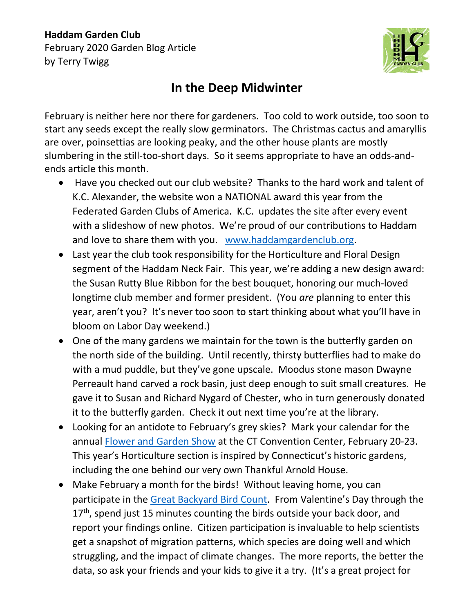## **Haddam Garden Club** February 2020 Garden Blog Article by Terry Twigg



## **In the Deep Midwinter**

February is neither here nor there for gardeners. Too cold to work outside, too soon to start any seeds except the really slow germinators. The Christmas cactus and amaryllis are over, poinsettias are looking peaky, and the other house plants are mostly slumbering in the still-too-short days. So it seems appropriate to have an odds-andends article this month.

- Have you checked out our club website? Thanks to the hard work and talent of K.C. Alexander, the website won a NATIONAL award this year from the Federated Garden Clubs of America. K.C. updates the site after every event with a slideshow of new photos. We're proud of our contributions to Haddam and love to share them with you. [www.haddamgardenclub.org.](http://www.haddamgardenclub.org/)
- Last year the club took responsibility for the Horticulture and Floral Design segment of the Haddam Neck Fair. This year, we're adding a new design award: the Susan Rutty Blue Ribbon for the best bouquet, honoring our much-loved longtime club member and former president. (You *are* planning to enter this year, aren't you? It's never too soon to start thinking about what you'll have in bloom on Labor Day weekend.)
- One of the many gardens we maintain for the town is the butterfly garden on the north side of the building. Until recently, thirsty butterflies had to make do with a mud puddle, but they've gone upscale. Moodus stone mason Dwayne Perreault hand carved a rock basin, just deep enough to suit small creatures. He gave it to Susan and Richard Nygard of Chester, who in turn generously donated it to the butterfly garden. Check it out next time you're at the library.
- Looking for an antidote to February's grey skies? Mark your calendar for the annual [Flower and Garden Show](https://ctflowershow.com/) at the CT Convention Center, February 20-23. This year's Horticulture section is inspired by Connecticut's historic gardens, including the one behind our very own Thankful Arnold House.
- Make February a month for the birds! Without leaving home, you can participate in the [Great Backyard Bird Count](https://gbbc.birdcount.org/). From Valentine's Day through the  $17<sup>th</sup>$ , spend just 15 minutes counting the birds outside your back door, and report your findings online. Citizen participation is invaluable to help scientists get a snapshot of migration patterns, which species are doing well and which struggling, and the impact of climate changes. The more reports, the better the data, so ask your friends and your kids to give it a try. (It's a great project for